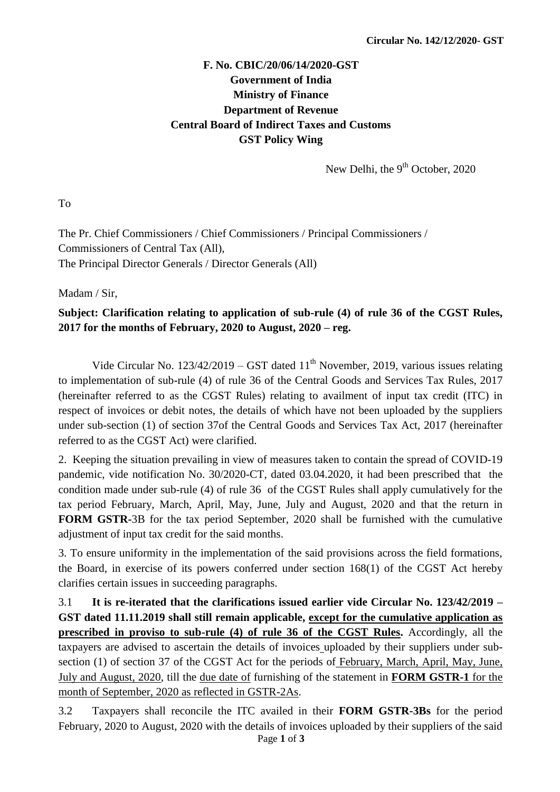## **F. No. CBIC/20/06/14/2020-GST Government of India Ministry of Finance Department of Revenue Central Board of Indirect Taxes and Customs GST Policy Wing**

New Delhi, the 9<sup>th</sup> October, 2020

To

The Pr. Chief Commissioners / Chief Commissioners / Principal Commissioners / Commissioners of Central Tax (All), The Principal Director Generals / Director Generals (All)

Madam / Sir,

## **Subject: Clarification relating to application of sub-rule (4) of rule 36 of the CGST Rules, 2017 for the months of February, 2020 to August, 2020 – reg.**

Vide Circular No.  $123/42/2019 - GST$  dated  $11<sup>th</sup>$  November, 2019, various issues relating to implementation of sub-rule (4) of rule 36 of the Central Goods and Services Tax Rules, 2017 (hereinafter referred to as the CGST Rules) relating to availment of input tax credit (ITC) in respect of invoices or debit notes, the details of which have not been uploaded by the suppliers under sub-section (1) of section 37of the Central Goods and Services Tax Act, 2017 (hereinafter referred to as the CGST Act) were clarified.

2. Keeping the situation prevailing in view of measures taken to contain the spread of COVID-19 pandemic, vide notification No. 30/2020-CT, dated 03.04.2020, it had been prescribed that the condition made under sub-rule (4) of rule 36 of the CGST Rules shall apply cumulatively for the tax period February, March, April, May, June, July and August, 2020 and that the return in **FORM GSTR-**3B for the tax period September, 2020 shall be furnished with the cumulative adjustment of input tax credit for the said months.

3. To ensure uniformity in the implementation of the said provisions across the field formations, the Board, in exercise of its powers conferred under section 168(1) of the CGST Act hereby clarifies certain issues in succeeding paragraphs.

3.1 **It is re-iterated that the clarifications issued earlier vide Circular No. 123/42/2019 – GST dated 11.11.2019 shall still remain applicable, except for the cumulative application as prescribed in proviso to sub-rule (4) of rule 36 of the CGST Rules.** Accordingly, all the taxpayers are advised to ascertain the details of invoices uploaded by their suppliers under subsection (1) of section 37 of the CGST Act for the periods of February, March, April, May, June, July and August, 2020, till the due date of furnishing of the statement in **FORM GSTR-1** for the month of September, 2020 as reflected in GSTR-2As.

Page **1** of **3** 3.2 Taxpayers shall reconcile the ITC availed in their **FORM GSTR-3Bs** for the period February, 2020 to August, 2020 with the details of invoices uploaded by their suppliers of the said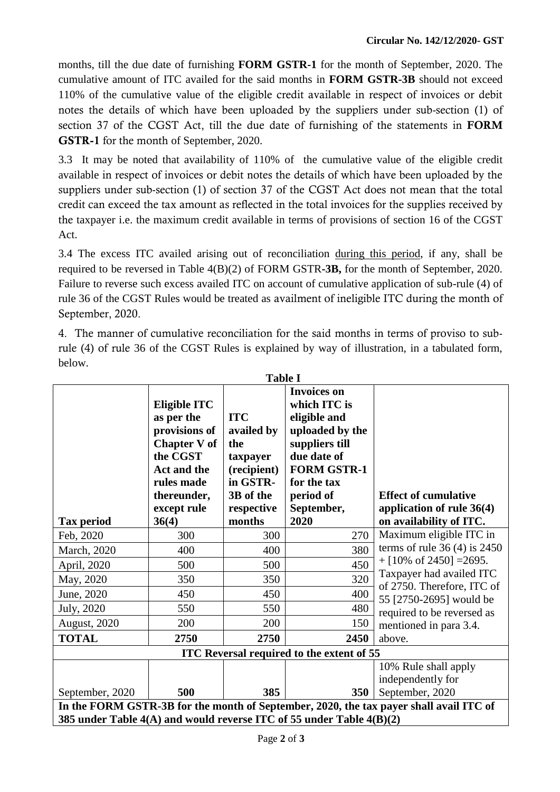months, till the due date of furnishing **FORM GSTR-1** for the month of September, 2020. The cumulative amount of ITC availed for the said months in **FORM GSTR-3B** should not exceed 110% of the cumulative value of the eligible credit available in respect of invoices or debit notes the details of which have been uploaded by the suppliers under sub-section (1) of section 37 of the CGST Act, till the due date of furnishing of the statements in **FORM GSTR-1** for the month of September, 2020.

3.3 It may be noted that availability of 110% of the cumulative value of the eligible credit available in respect of invoices or debit notes the details of which have been uploaded by the suppliers under sub-section (1) of section 37 of the CGST Act does not mean that the total credit can exceed the tax amount as reflected in the total invoices for the supplies received by the taxpayer i.e. the maximum credit available in terms of provisions of section 16 of the CGST Act.

3.4 The excess ITC availed arising out of reconciliation during this period, if any, shall be required to be reversed in Table 4(B)(2) of FORM GSTR**-3B,** for the month of September, 2020. Failure to reverse such excess availed ITC on account of cumulative application of sub-rule (4) of rule 36 of the CGST Rules would be treated as availment of ineligible ITC during the month of September, 2020.

4. The manner of cumulative reconciliation for the said months in terms of proviso to subrule (4) of rule 36 of the CGST Rules is explained by way of illustration, in a tabulated form, below.

| <b>Table I</b>                                                                                                                                                 |                                                                                                                                                                  |                                                                                                             |                                                                                                                                                                                |                                                                                       |
|----------------------------------------------------------------------------------------------------------------------------------------------------------------|------------------------------------------------------------------------------------------------------------------------------------------------------------------|-------------------------------------------------------------------------------------------------------------|--------------------------------------------------------------------------------------------------------------------------------------------------------------------------------|---------------------------------------------------------------------------------------|
| <b>Tax period</b>                                                                                                                                              | <b>Eligible ITC</b><br>as per the<br>provisions of<br><b>Chapter V of</b><br>the CGST<br><b>Act and the</b><br>rules made<br>thereunder,<br>except rule<br>36(4) | <b>ITC</b><br>availed by<br>the<br>taxpayer<br>(recipient)<br>in GSTR-<br>3B of the<br>respective<br>months | <b>Invoices on</b><br>which ITC is<br>eligible and<br>uploaded by the<br>suppliers till<br>due date of<br><b>FORM GSTR-1</b><br>for the tax<br>period of<br>September,<br>2020 | <b>Effect of cumulative</b><br>application of rule $36(4)$<br>on availability of ITC. |
| Feb, 2020                                                                                                                                                      | 300                                                                                                                                                              | 300                                                                                                         | 270                                                                                                                                                                            | Maximum eligible ITC in                                                               |
| March, 2020                                                                                                                                                    | 400                                                                                                                                                              | 400                                                                                                         | 380                                                                                                                                                                            | terms of rule $36(4)$ is 2450                                                         |
| April, 2020                                                                                                                                                    | 500                                                                                                                                                              | 500                                                                                                         | 450                                                                                                                                                                            | $+[10\% \text{ of } 2450] = 2695.$                                                    |
| May, 2020                                                                                                                                                      | 350                                                                                                                                                              | 350                                                                                                         | 320                                                                                                                                                                            | Taxpayer had availed ITC                                                              |
| June, 2020                                                                                                                                                     | 450                                                                                                                                                              | 450                                                                                                         | 400                                                                                                                                                                            | of 2750. Therefore, ITC of<br>55 [2750-2695] would be                                 |
| July, 2020                                                                                                                                                     | 550                                                                                                                                                              | 550                                                                                                         | 480                                                                                                                                                                            | required to be reversed as                                                            |
| August, 2020                                                                                                                                                   | 200                                                                                                                                                              | 200                                                                                                         | 150                                                                                                                                                                            | mentioned in para 3.4.                                                                |
| <b>TOTAL</b>                                                                                                                                                   | 2750                                                                                                                                                             | 2750                                                                                                        | 2450                                                                                                                                                                           | above.                                                                                |
| <b>ITC Reversal required to the extent of 55</b>                                                                                                               |                                                                                                                                                                  |                                                                                                             |                                                                                                                                                                                |                                                                                       |
| September, 2020                                                                                                                                                | 500                                                                                                                                                              | 385                                                                                                         | 350                                                                                                                                                                            | 10% Rule shall apply<br>independently for<br>September, 2020                          |
| In the FORM GSTR-3B for the month of September, 2020, the tax payer shall avail ITC of<br>385 under Table 4(A) and would reverse ITC of 55 under Table 4(B)(2) |                                                                                                                                                                  |                                                                                                             |                                                                                                                                                                                |                                                                                       |